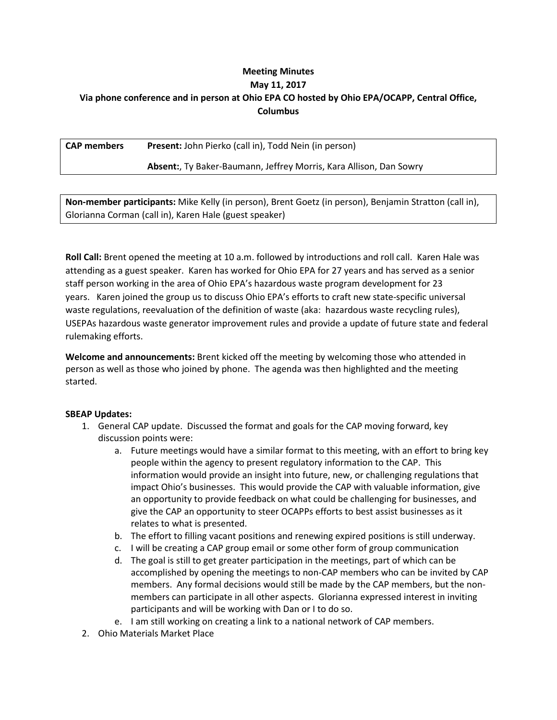# **Meeting Minutes May 11, 2017 Via phone conference and in person at Ohio EPA CO hosted by Ohio EPA/OCAPP, Central Office, Columbus**

**CAP members Present:** John Pierko (call in), Todd Nein (in person)

## **Absent:**, Ty Baker-Baumann, Jeffrey Morris, Kara Allison, Dan Sowry

**Non-member participants:** Mike Kelly (in person), Brent Goetz (in person), Benjamin Stratton (call in), Glorianna Corman (call in), Karen Hale (guest speaker)

**Roll Call:** Brent opened the meeting at 10 a.m. followed by introductions and roll call. Karen Hale was attending as a guest speaker. Karen has worked for Ohio EPA for 27 years and has served as a senior staff person working in the area of Ohio EPA's hazardous waste program development for 23 years. Karen joined the group us to discuss Ohio EPA's efforts to craft new state-specific universal waste regulations, reevaluation of the definition of waste (aka: hazardous waste recycling rules), USEPAs hazardous waste generator improvement rules and provide a update of future state and federal rulemaking efforts.

**Welcome and announcements:** Brent kicked off the meeting by welcoming those who attended in person as well as those who joined by phone. The agenda was then highlighted and the meeting started.

### **SBEAP Updates:**

- 1. General CAP update. Discussed the format and goals for the CAP moving forward, key discussion points were:
	- a. Future meetings would have a similar format to this meeting, with an effort to bring key people within the agency to present regulatory information to the CAP. This information would provide an insight into future, new, or challenging regulations that impact Ohio's businesses. This would provide the CAP with valuable information, give an opportunity to provide feedback on what could be challenging for businesses, and give the CAP an opportunity to steer OCAPPs efforts to best assist businesses as it relates to what is presented.
	- b. The effort to filling vacant positions and renewing expired positions is still underway.
	- c. I will be creating a CAP group email or some other form of group communication
	- d. The goal is still to get greater participation in the meetings, part of which can be accomplished by opening the meetings to non-CAP members who can be invited by CAP members. Any formal decisions would still be made by the CAP members, but the nonmembers can participate in all other aspects. Glorianna expressed interest in inviting participants and will be working with Dan or I to do so.
	- e. I am still working on creating a link to a national network of CAP members.
- 2. Ohio Materials Market Place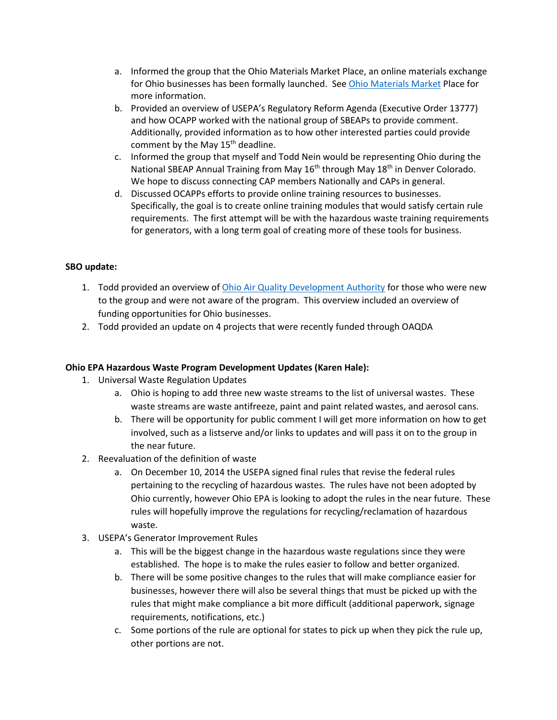- a. Informed the group that the Ohio Materials Market Place, an online materials exchange for Ohio businesses has been formally launched. Se[e Ohio Materials Market](https://ohio.materialsmarketplace.org/) Place for more information.
- b. Provided an overview of USEPA's Regulatory Reform Agenda (Executive Order 13777) and how OCAPP worked with the national group of SBEAPs to provide comment. Additionally, provided information as to how other interested parties could provide comment by the May 15<sup>th</sup> deadline.
- c. Informed the group that myself and Todd Nein would be representing Ohio during the National SBEAP Annual Training from May 16<sup>th</sup> through May 18<sup>th</sup> in Denver Colorado. We hope to discuss connecting CAP members Nationally and CAPs in general.
- d. Discussed OCAPPs efforts to provide online training resources to businesses. Specifically, the goal is to create online training modules that would satisfy certain rule requirements. The first attempt will be with the hazardous waste training requirements for generators, with a long term goal of creating more of these tools for business.

# **SBO update:**

- 1. Todd provided an overview of [Ohio Air Quality Development Authority](http://ohioairquality.ohio.gov/About-OAQDA) for those who were new to the group and were not aware of the program. This overview included an overview of funding opportunities for Ohio businesses.
- 2. Todd provided an update on 4 projects that were recently funded through OAQDA

### **Ohio EPA Hazardous Waste Program Development Updates (Karen Hale):**

- 1. Universal Waste Regulation Updates
	- a. Ohio is hoping to add three new waste streams to the list of universal wastes. These waste streams are waste antifreeze, paint and paint related wastes, and aerosol cans.
	- b. There will be opportunity for public comment I will get more information on how to get involved, such as a listserve and/or links to updates and will pass it on to the group in the near future.
- 2. Reevaluation of the definition of waste
	- a. On December 10, 2014 the USEPA signed final rules that revise the federal rules pertaining to the recycling of hazardous wastes. The rules have not been adopted by Ohio currently, however Ohio EPA is looking to adopt the rules in the near future. These rules will hopefully improve the regulations for recycling/reclamation of hazardous waste.
- 3. USEPA's Generator Improvement Rules
	- a. This will be the biggest change in the hazardous waste regulations since they were established. The hope is to make the rules easier to follow and better organized.
	- b. There will be some positive changes to the rules that will make compliance easier for businesses, however there will also be several things that must be picked up with the rules that might make compliance a bit more difficult (additional paperwork, signage requirements, notifications, etc.)
	- c. Some portions of the rule are optional for states to pick up when they pick the rule up, other portions are not.